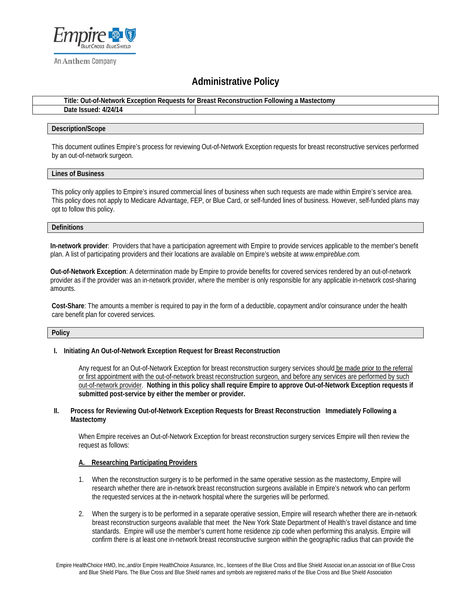

An Anthem Company

# **Administrative Policy**

**Title: Out-of-Network Exception Requests for Breast Reconstruction Following a Mastectomy**

| 4/24/14<br>Date<br>elssued:<br>. <i>۲۱۷</i> |  |  |  |
|---------------------------------------------|--|--|--|
|                                             |  |  |  |

#### **Description/Scope**

This document outlines Empire's process for reviewing Out-of-Network Exception requests for breast reconstructive services performed by an out-of-network surgeon.

#### **Lines of Business**

This policy only applies to Empire's insured commercial lines of business when such requests are made within Empire's service area. This policy does not apply to Medicare Advantage, FEP, or Blue Card, or self-funded lines of business. However, self-funded plans may opt to follow this policy.

#### **Definitions**

**In-network provider**: Providers that have a participation agreement with Empire to provide services applicable to the member's benefit plan. A list of participating providers and their locations are available on Empire's website at *www.empireblue.com.* 

**Out-of-Network Exception**: A determination made by Empire to provide benefits for covered services rendered by an out-of-network provider as if the provider was an in-network provider, where the member is only responsible for any applicable in-network cost-sharing amounts.

**Cost-Share**: The amounts a member is required to pay in the form of a deductible, copayment and/or coinsurance under the health care benefit plan for covered services.

#### **Policy**

# **I. Initiating An Out-of-Network Exception Request for Breast Reconstruction**

Any request for an Out-of-Network Exception for breast reconstruction surgery services should be made prior to the referral or first appointment with the out-of-network breast reconstruction surgeon, and before any services are performed by such out-of-network provider. **Nothing in this policy shall require Empire to approve Out-of-Network Exception requests if submitted post-service by either the member or provider.**

#### **II. Process for Reviewing Out-of-Network Exception Requests for Breast Reconstruction Immediately Following a Mastectomy**

When Empire receives an Out-of-Network Exception for breast reconstruction surgery services Empire will then review the request as follows:

# **A. Researching Participating Providers**

- 1. When the reconstruction surgery is to be performed in the same operative session as the mastectomy, Empire will research whether there are in-network breast reconstruction surgeons available in Empire's network who can perform the requested services at the in-network hospital where the surgeries will be performed.
- 2. When the surgery is to be performed in a separate operative session, Empire will research whether there are in-network breast reconstruction surgeons available that meet the New York State Department of Health's travel distance and time standards. Empire will use the member's current home residence zip code when performing this analysis. Empire will confirm there is at least one in-network breast reconstructive surgeon within the geographic radius that can provide the